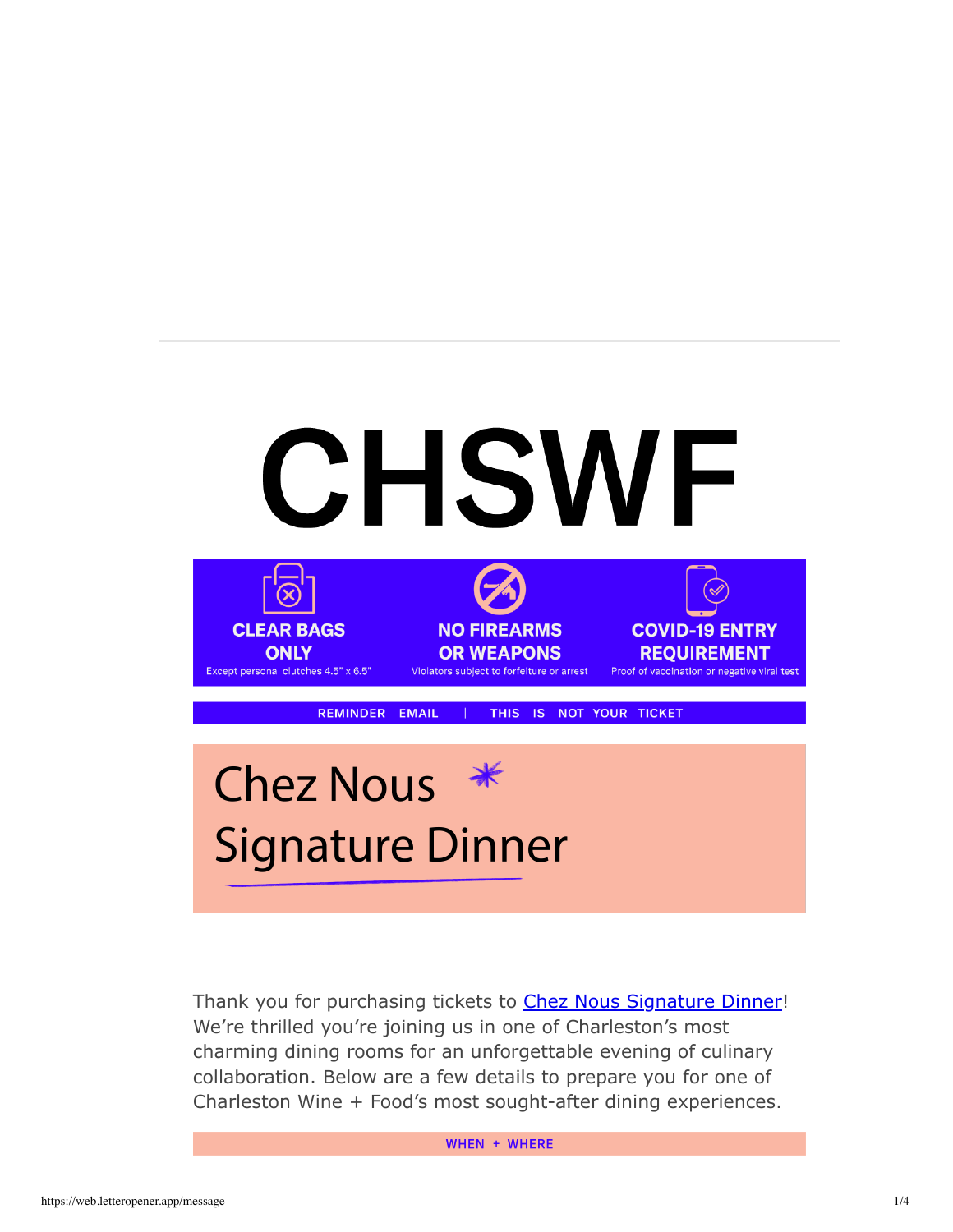

WHEN + WHERE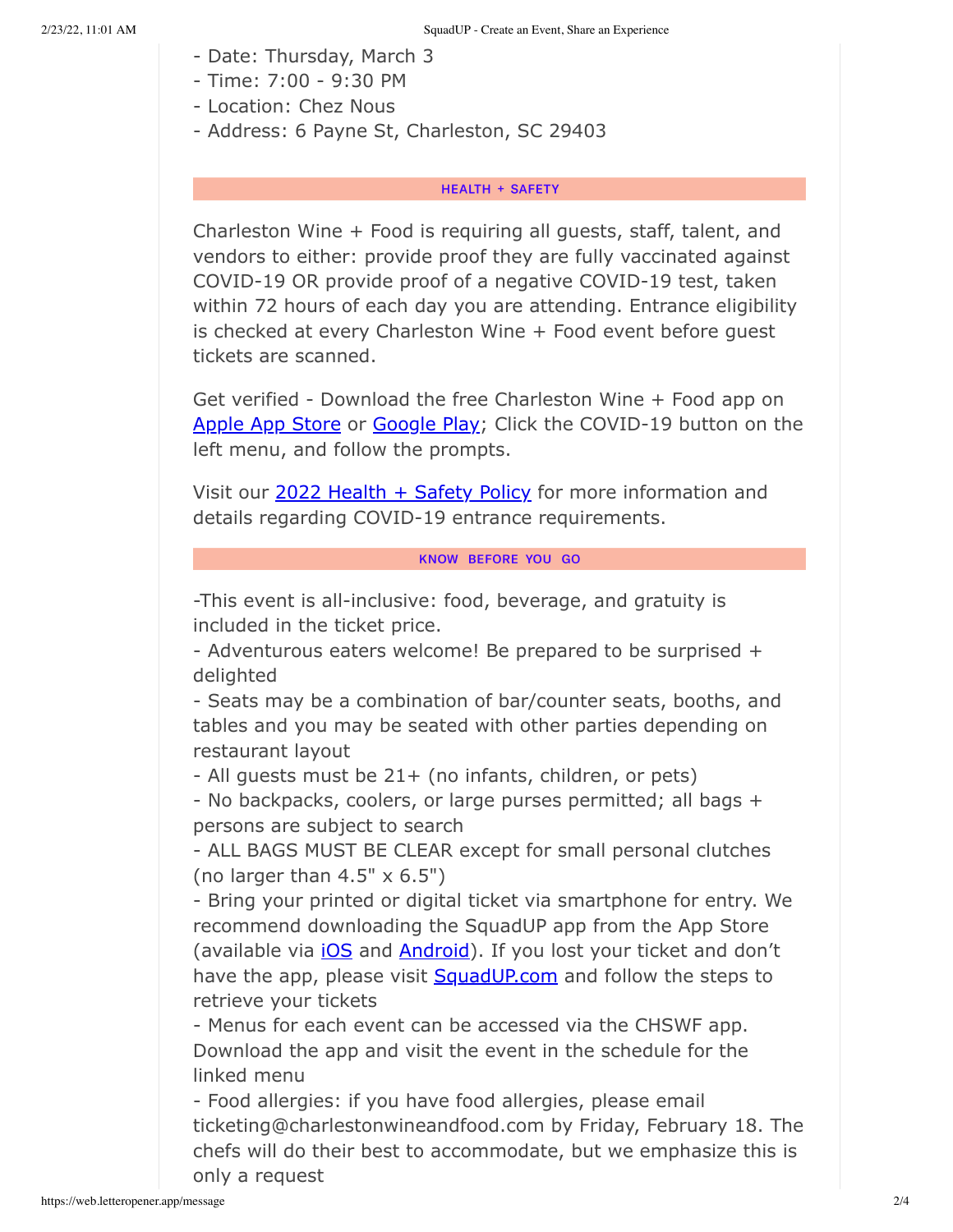- Date: Thursday, March 3
- Time: 7:00 9:30 PM
- Location: Chez Nous
- Address: 6 Payne St, Charleston, SC 29403

### **HEALTH + SAFETY**

Charleston Wine + Food is requiring all guests, staff, talent, and vendors to either: provide proof they are fully vaccinated against COVID-19 OR provide proof of a negative COVID-19 test, taken within 72 hours of each day you are attending. Entrance eligibility is checked at every Charleston Wine + Food event before guest tickets are scanned.

Get verified - Download the free Charleston Wine + Food app on Apple App Store or Google Play; Click the COVID-19 button on the left menu, and follow the prompts.

Visit our 2022 Health + Safety Policy for more information and details regarding COVID-19 entrance requirements.

#### KNOW BEFORE YOU GO

-This event is all-inclusive: food, beverage, and gratuity is included in the ticket price.

- Adventurous eaters welcome! Be prepared to be surprised + delighted

- Seats may be a combination of bar/counter seats, booths, and tables and you may be seated with other parties depending on restaurant layout

- All guests must be 21+ (no infants, children, or pets)

- No backpacks, coolers, or large purses permitted; all bags + persons are subject to search

- ALL BAGS MUST BE CLEAR except for small personal clutches (no larger than  $4.5" \times 6.5"$ )

- Bring your printed or digital ticket via smartphone for entry. We recommend downloading the SquadUP app from the App Store (available via *iOS* and **Android**). If you lost your ticket and don't have the app, please visit SquadUP.com and follow the steps to retrieve your tickets

- Menus for each event can be accessed via the CHSWF app. Download the app and visit the event in the schedule for the linked menu

- Food allergies: if you have food allergies, please email ticketing@charlestonwineandfood.com by Friday, February 18. The chefs will do their best to accommodate, but we emphasize this is only a request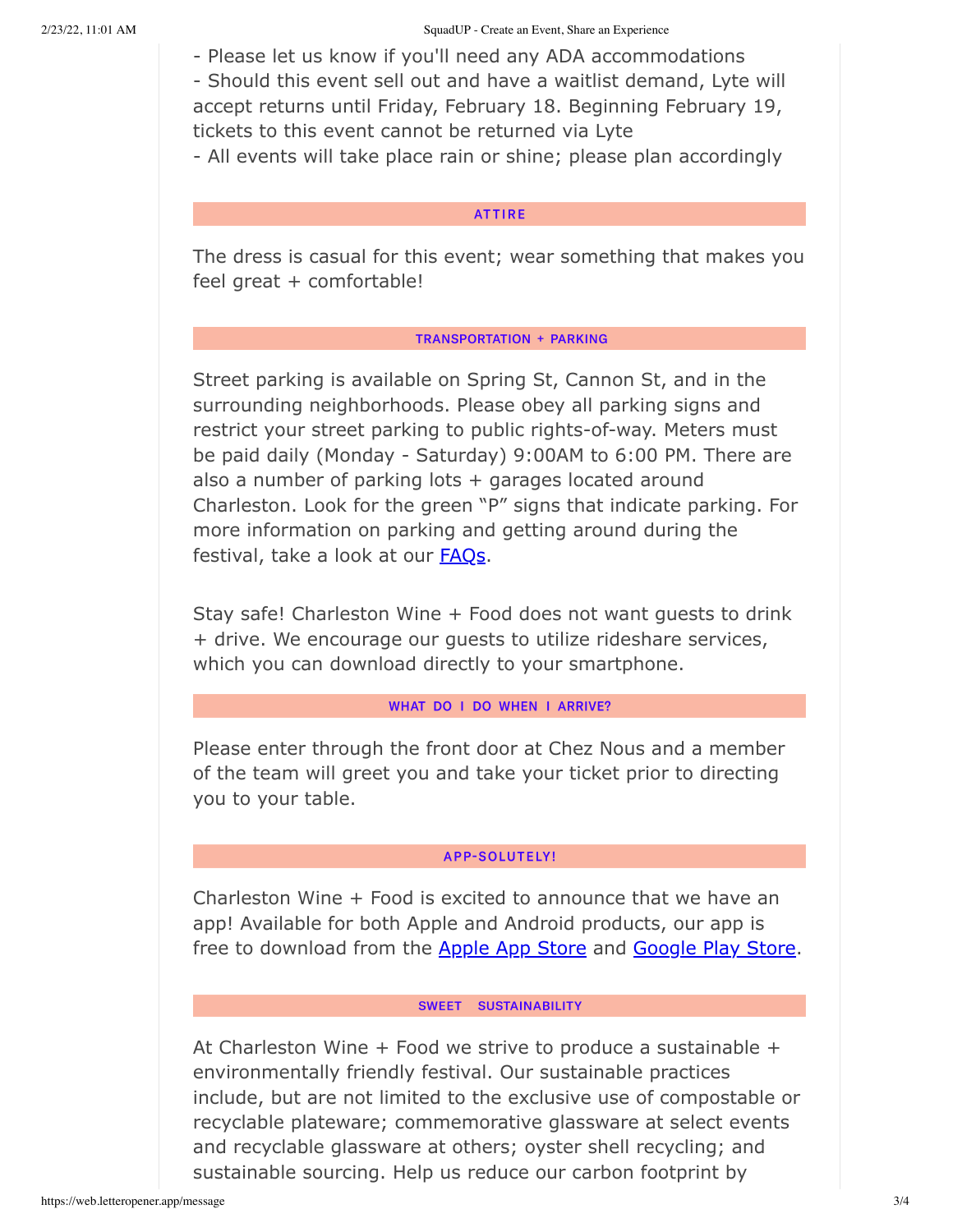- Please let us know if you'll need any ADA accommodations

- Should this event sell out and have a waitlist demand, Lyte will accept returns until Friday, February 18. Beginning February 19, tickets to this event cannot be returned via Lyte

- All events will take place rain or shine; please plan accordingly

## **ATTIRE**

The dress is casual for this event; wear something that makes you feel great + comfortable!

### **TRANSPORTATION + PARKING**

Street parking is available on Spring St, Cannon St, and in the surrounding neighborhoods. Please obey all parking signs and restrict your street parking to public rights-of-way. Meters must be paid daily (Monday - Saturday) 9:00AM to 6:00 PM. There are also a number of parking lots + garages located around Charleston. Look for the green "P" signs that indicate parking. For more information on parking and getting around during the festival, take a look at our **FAQs**.

Stay safe! Charleston Wine + Food does not want guests to drink + drive. We encourage our guests to utilize rideshare services, which you can download directly to your smartphone.

#### WHAT DO I DO WHEN I ARRIVE?

Please enter through the front door at Chez Nous and a member of the team will greet you and take your ticket prior to directing you to your table.

# APP-SOLUTELY!

Charleston Wine + Food is excited to announce that we have an app! Available for both Apple and Android products, our app is free to download from the Apple App Store and Google Play Store.

# SWEET SUSTAINABILITY

At Charleston Wine  $+$  Food we strive to produce a sustainable  $+$ environmentally friendly festival. Our sustainable practices include, but are not limited to the exclusive use of compostable or recyclable plateware; commemorative glassware at select events and recyclable glassware at others; oyster shell recycling; and sustainable sourcing. Help us reduce our carbon footprint by